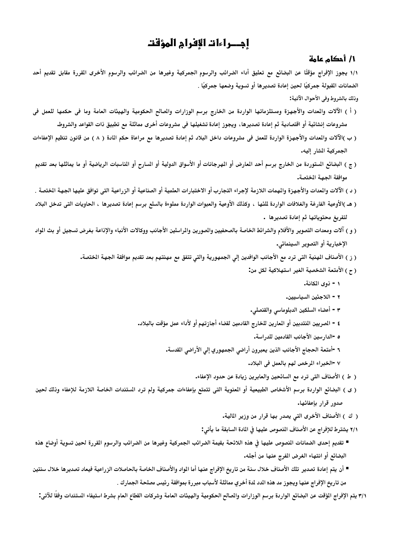# إجـراءات الإفرام المؤقت

#### 1/ أحكام عامة

١/١ يجوز الإفراج مؤقتًا عن البضائع مع تعليق أداء الضرائب والرسوم الجمركية وغيرها من الضرائب والرسوم الأخرى القررة مقابل تقديم أحد الضمانات القبولة جمركيًا لحين إعادة تصديرها أو تسوية وضعها جمركيًا .

وذلك بالشروط وفي الأحوال الآتية:

- ( أ ) الآلات والمدات والأجهزة ومستلزماتها الواردة من الخارج برسم الوزارات والصالح الحكومية والهيئات العامة وما في حكمها للعمل في مشروعات إنشائية أو اقتصادية ثم إعادة تصديرها ، ويجوز إعادة تشغيلها في مشروعات أخرى مماثلة مع تطبيق ذات القواعد والشروط.
- ( ب )الآلات والمدات والأجهزة الواردة للعمل في مشروعات داخل البلاد ثم إعادة تصديرها مع مراعاة حكم المادة ( ٨ ) من قانون تنظيم الإعفاءات الجمركية الشار إليه.
- ( ج ) البضائع المسوردة من الخارج برسم أحد المعارض أو المهرجانات أو الأسواق الدولية أو المسارح أو المناسبات الرياضية أو ما يماثلها بعد تقديم موافقة الجهة المختصة.
- ( د ) الآلات والمدات والأجهزة والهمات اللازمة لإجراء التجارب أو الاختبارات العلمية أو الصناعية أو الزراعية التي توافق عليها الجهة الختصة .
- ( هـ )الأوعية الفارغة والغلافات الواردة للئها ، وكذلك الأوعية والعبوات الواردة مملوءة بالسلع برسم إعادة تصديرها ، الحاويات التي تدخل البلاد لتفريغ محتوياتها ثم إعادة تصديرها .
- ( و ) آلات ومعدات التصوير والأفلام والشرائط الخاصة بالصحفيين والمورين والمراسلين الأجانب ووكالات الأنباء والإذاعة بغرض تسجيل أو بث المواد الإخبارية أو التصوير السينمائي.
	- ( ز ) الأصناف الهنية التي ترد مع الأجانب الوافدين إلى الجمهورية والتي تتفق مع مهنتهم بعد تقديم موافقة الجهة الختصة.
		- ( ح ) الأمتعة الشخصية الغير استهلاكية لكل من:
			- ١ ذوى المكانة.
			- ٢ اللاجئين السياسيين.
		- ٣ أعضاء السلكين الدبلوماسي والقنصلي.
		- ٤ الصريين المنتدبين أو المعارين للخارج القادمين لقضاء أجازتهم أو لأداء عمل مؤقت بالبلاد.
			- ه -الدارسين الأجانب القادمين للدراسة.
			- ٦ -أمتعة الحجاج الأجانب الذين يعبرون أراضى الجمهوري إلى الأراضى القدسة.
				- ٧ -الخبراء المرخص لهم بالعمل في البلاد.
				- ( ط ) الأصناف التي ترد مع السائحين والعابرين زيادة عن حدود الإعفاء.
- ( ي ) البضائع الواردة برسم الأشخاص الطبيعية أو المنوية التي تتمتع بإعفاءات جمركية ولم ترد الستندات الخاصة اللازمة للإعفاء وذلك لحين صدور قرار بإعفائها.
	- ( ك ) الأصناف الأخرى التي يصدر بها قرار من وزير المالية.
	- ٢/١ يشترط للإفراج عن الأصناف النصوص عليها فى المادة السابقة ما يأتى:
- تقديم إحدى الضمانات النصوص عليها فى هذه اللائحة بقيمة الضرائب الجمركية وغيرها من الضرائب والرسوم القررة لحين تسوية أوضاع هذه البضائع أو انتهاء الغرض المفرج عنها من أجله.
- أن يتم إعادة تصدير تلك الأصناف خلال سنة من تاريخ الإفراج عنها أما الواد والأصناف الخاصة بالحاصلات الزراعية فيعاد تصديرها خلال سنتين من تاريخ الإفراج عنها ويجوز مد هذه المد لدة أخرى مماثلة لأسباب مبررة بموافقة رئيس مصلحة الجمارك .

٣/١ يتم الإفراج المؤقت عن البضائع الواردة برسم الوزارات والصالح الحكومية والهيئات العامة وشركات القطاع العام بشرط استيفاء المستندات وفقا للآتى: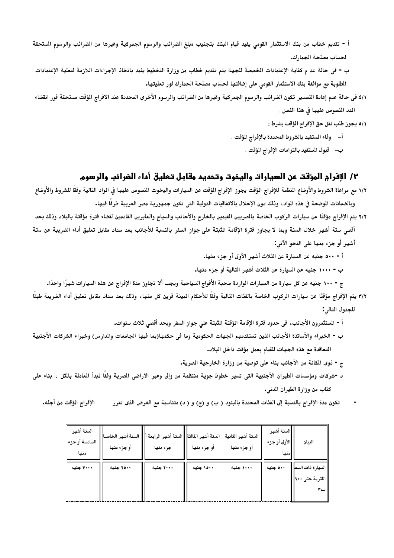أ - تقديم خطاب من بنك الاستثمار القومى يفيد قيام البنك بتجنيب مبلغ الضرائب والرسوم الجمركية وغيرها من الضرائب والرسوم الستحقة لحساب مصلحة الجمارك.

ب - في حالة عد م كفاية الإعتمادات المخصصة للجهة يتم تقديم خطاب من وزارة التخطيط يفيد باتخاذ الإجراءات اللازمة لتعلية الإعتمادات الطلوبة مع موافقة بنك الاستثمار القومي على إضافتها لحساب مصلحة الجمارك فور تعليتها.

- ٤/١ في حالة عدم إعادة التصدير تكون الضرائب والرسوم الجمركية وغيرها من الضرائب والرسوم الأخرى المحددة عند الافراج الؤقت مستحقة فور انقضاء المد المصوص عليها في هذا الفصل .
	- ٥/١ يجوز طلب نقل حق الإفراج المؤقت بشرط :
	- أ– وفاء المستفيد بالشروط المحددة بالإفراج المؤقت .
		- ب– قبول المستفيد بالتزامات الإفراج المؤقت .

# ٢/ الإفرام المؤقت عن السيارات واليخوت وتحديد مقابل تـعليق أداء الضرائب والرسوم

١/٢ مع مراعاة الشروط والأوضاع المنظمة للإفراج المؤقت يجوز الإفراج الؤقت عن السيارات واليخوت المنصوص عليها فى الواد التالية وفقًا للشروط والأوضاع وبالضمانات الوضحة فى هذه الواد ، وذلك دون الإخلال بالاتفاقيات الدولية التى تكون جمهورية مصر العربية طرفًا فيها.

٢/٢ يتم الإفراج مؤقتًا عن سيارات الركوب الخاصة بالصريين المقيمين بالخارج والأجانب والسياح والعابرين القادمين لقضاء فترة مؤقتة بالبلاد وذلك بحد أقصى ستة أشهر خلال السنة وبما لا يجاوز فترة الإقامة الثبتة على جواز السفر بالنسبة للأجانب بعد سداد مقابل تعليق أداء الضريبة عن ستة أشهر أو جزء منها على النحو الآتي:

أ - ٥٠٠ جنيه عن السيارة عن الثلاث أشهر الأولى أو جزء منها.

ب - ١٠٠٠ جنيه عن السيارة عن الثلاث أشهر التالية أو جزء منها.

ج - ١٠٠ جنيه عن كل سيارة من السيارات الواردة صحبة الأفواج السياحية ويجب ألا تجاوز مدة الإفراج عن هذه السيارات شهرًا واحدًا.

٣/٢ يتم الإفراج مؤقتًا عن سيارات الركوب الخاصة بالفئات التالية وفقًا للأحكام الميينة قرين كل منها، وذلك بعد سداد مقابل تعليق أداء الضريبة طبقًا للجدول التالي:

- أ المستثمرون الأجانب، في حدود فترة الإقامة المؤقتة الثبتة على جواز السفر وبحد أقصى ثلاث سنوات.
- ب = الخبراء والأساتذة الأجانب الذين تستقدمهم الجهات الحكومية وما في حكمها(بما فيها الجامعات والدارس) وخبراء الشركات الأجنبية التعاقدة مع هذه الجهات للقيام بعمل مؤقت داخل البلاد.
	- ج = ذوى المكانــة من الأجانب بنـاء على توصيــة من وزارة الخارجيــة الصريــة.
- د -شركات ومؤسسات الطيران الأجنبية التي تسير خطوط جوية منتظمة من وإلى وعبر الاراضي الصرية وفقًا لمبدأ الماملة بالثل ، بناء على كتاب من وزارة الطيران المدنى.
	- الإفراج المؤقت من أجله. تكون مدة الإفراج بالنسبة إلى الفئات المحددة بالبنود ( ب) و (ج) و ( د) متناسبة مع الغرض الذي تقرر

| الستة أشهر<br>السادسة أو جزء <mark>ا</mark><br>منها | الستة أشهر الخامسة<br>أو جزء منها | الستة أشهر الرابعة أ<br>جزء منها | الستة أشهر الثالثة ا<br>أو جزء منها | الستة أشهر الثانية<br>أو جزء منها | الستة أشهر<br>الأولى أو جزء<br>منها | البيان                                         |
|-----------------------------------------------------|-----------------------------------|----------------------------------|-------------------------------------|-----------------------------------|-------------------------------------|------------------------------------------------|
| ۳۰۰۰ جنیه                                           | ۲۵۰۰ جنیه                         | ۲۰۰۰ جنبه                        | ۱۵۰۰ جنبه                           | ۱۰۰۰ جنبه                         | ٥٠٠ جنيه                            | السيارة ذات السعا<br>اللترية حتى ٦٠٠ <br>  سم۳ |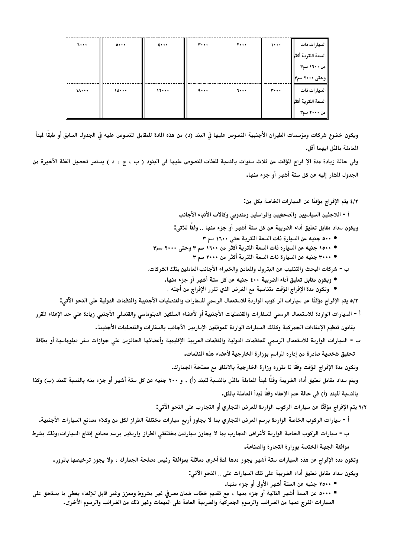| 5                           | $\bullet \cdot \cdot \cdot$ | $\epsilon \cdots$ | 7         | 7 | 1            | السيارات ذات       |
|-----------------------------|-----------------------------|-------------------|-----------|---|--------------|--------------------|
|                             |                             |                   |           |   |              | السعة اللترية أكثر |
|                             |                             |                   |           |   |              | من ۱۶۰۰ سم۳        |
|                             |                             |                   |           |   |              | وحتى ٢٠٠٠ سم٣      |
| $\lambda \cdot \cdot \cdot$ | 10                          | 11                | $\ddotsc$ | 5 | $\mathbf{r}$ | السيارات ذات       |
|                             |                             |                   |           |   |              | السعة اللترية أكثر |
|                             |                             |                   |           |   |              | ا من ۲۰۰۰ سم۳      |

ويكون خضوع شركات ومؤسسات الطيران الأجنبية المصوص عليها في البند (د) من هذه المادة للمقابل المصوص عليه في الجدول السابق أو طبقا لمبدأ المعاملة بالمثل ايهما أقل.

وفي حالة زيادة مدة الإ فراج الؤقت عن ثلاث سنوات بالنسبة للفئات النصوص عليها في البنود ( ب ، ج ، د ) يستمر تحصيل الفئة الأخيرة من الجدول المشار إليه عن كل ستة أشهر أو جزء منها.

#### ٤/٢ يتم الإفراج مؤقتًا عن السيارات الخاصة بكل من:

أ - اللاجئين السياسيين والصحفيين والمراسلين ومندوبي وكالات الأنباء الأجانب

ويكون سداد مقابل تعليق أداء الضريبة عن كل ستة أشهر أو جزء منها .. وفقاً للآتي:

- ٥٠٠ جنيه عن السيارة ذات السعة اللترية حتى ١٦٠٠ سم ٣
- ١٥٠٠ جنيه عن السيارة ذات السعة اللترية أكثر من ١٦٠٠ سم ٣ وحتى ٢٠٠٠ سم٣
	- ٣٠٠٠ جنيه عن السيارة ذات السعة اللترية أكثر من ٢٠٠٠ سمِّ ٣
- ب = شركات البحث والتنقيب عن البترول والمعادن والخبراء الأجانب العاملين بتلك الشركات.
	- ويكون مقابل تعليق أداء الضريبة ٤٠٠ جنيه عن كل ستة أشهر أو جزء منها.
	- وتكون مدة الإفراج المؤقت متناسبة مع الغرض الذي تقرر الإفراج من أجله .

٥/٢ يتم الإفراج مؤقتًا عن سيارات الر كوب الواردة للاستعمال الرسمي للسفارات والقنصليات الأجنبية والمنظمات الدولية على النحو الآتي:

أ - السيارات الواردة للاستعمال الرسمي للسفارات والقنصليات الأجنبية أو لأعضاء السلكين الدبلوماسي والقنصلي الأجنبي زيادة على حد الإعفاء القرر بقانون تنظيم الإعفاءات الجمركية وكذلك السيارات الواردة للموظفين الإداريين الأجانب بالسفارات والقنصليات الأجنبية.

ب - السيارات الواردة للاستعمال الرسمي للمنظمات الدولية والمظمات العربية الإقليمية وأعضائها الحائزين على جوازات سفر دبلوماسية أو بطاقة تحقيق شخصية صادرة من إدارة المراسم بوزارة الخارجية لأعضاء هذه النظمات.

وتكون مدة الإفراج المؤقت وفقًا لما تقرره وزارة الخارجية بالاتفاق مع مصلحة الجمارك.

ويتم سداد مقابل تعليق أداء الضريبة وفقًا لمبدأ المعاملة بالثل بالنسبة للبند (أ) ، و ٢٠٠ جنيه عن كل ستة أشهر أو جزء منه بالنسبة للبند (ب) وكذا بالنسبة للبند (أ) في حالة عدم الإعفاء وفقاً لمبدأ المعاملة بالمثل.

- ٦/٢ يتم الإفراج مؤقتًا عن سيارات الركوب الواردة للعرض التجاري أو التجارب على النحو الآتي:
- أ سيارات الركوب الخاصة الواردة برسم العرض التجاري بما لا يجاوز أربع سيارات مختلفة الطراز لكل من وكلاء مصانع السيارات الأجنبية.

ب - سيارات الركوب الخاصة الواردة لأغراض التجارب بما لا يجاوز سيارتين مختلفتي الطراز واردتين برسم مصانع إنتاج السيارات،وذلك بشرط موافقة الجهة الختصة بوزارة التجارة والصناعة.

وتكون مدة الإفراج عن هذه السيارات ستة أشهر يجوز مدها لدة أخرى مماثلة بموافقة رئيس مصلحة الجمارك ، ولا يجوز ترخيصها بالرور. ويكون سداد مقابل تعليق أداء الضريبة على تلك السيارات على .. النحو الآتي:

■ ٢٥٠٠ جنيه عن الستة أشهر الأولى أو جزء منها.

■ ٥٠٠٠ عن الستة أشهر التالية أو جزء منها ، مع تقديم خطاب ضمان مصرفي غير مشروط ومعزز وغير قابل للإلغاء يغطى ما يستحق على السيارات الفرج عنها من الضرائب والرسوم الجمركية والضريبة العامة على المبيعات وغير ذلك من الضرائب والرسوم الأخرى.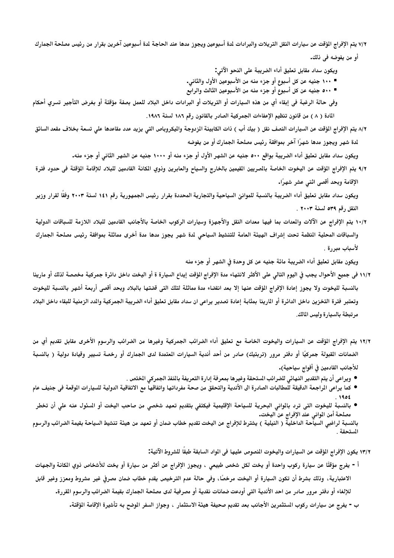٧/٢ يتم الإفراج المؤقت عن سيارات النقل التريلات والبرادات لمة أسبوعين ويجوز مدها عند الحاجة لمة أسبوعين آخرين بقرار من رئيس مصلحة الجمارك أو من يفوضه في ذلك.

ويكون سداد مقابل تعليق أداء الضريبة على النحو الآتي:

■ ١٠٠ جنيه عن كل أسبوع أو جزء منه من الأسبوعين الأول والثاني.

■ ٥٠٠ جنيه عن كل أسبوع أو جزء منه من الأسبوعين الثالث والرابع

وفي حالة الرغبة في إبقاء أي من هذه السيارات أو التريلات أو البرادات داخل البلاد للعمل بصفة مؤقتة أو بغرض التأجير تسري أحكام المادة ( ٨ ) من قانون تنظيم الإعفاءات الجمركية الصادر بالقانون رقم ١٨٦ لسنة ١٩٨٦.

٨/٢ يتم الإفراج المؤقت عن السيارات النصف نقل ( بيك أب ) ذات الكابينة الزدوجة واليكروباص التي يزيد عدد مقاعدها على تسعة بخلاف مقعد السائق لدة شهر ويجوز مدها شهرًا آخر بموافقة رئيس مصلحة الجمارك أو من يفوضه

ويكون سداد مقابل تعليق أداء الضريبة بواقع ٥٠٠ جنيه عن الشهر الأول أو جزء منه أو ١٠٠٠ جنيه عن الشهر الثاني أو جزء منه.

٩/٢ يتم الإفراج الؤقت عن اليخوت الخاصة بالصريين القيمين بالخارج والسياح والعابرين وذوي الكانة القادمين للبلاد للإقامة الؤقتة في حدود فترة الإقامة وبحد أقصى اثنى عشر شهرًا.

ويكون سداد مقابل تعليق أداء الضريبة بالنسبة للموانئ السياحية والتجارية المحددة بقرار رئيس الجمهورية رقم ١٤١ لسنة ٢٠٠٣ وفقا لقرار وزير النقل رقم ٣٩٥ لسنة ٢٠٠٣ .

١٠/٢ يتم الإفراج عن الآلات والمدات بما فيها معدات النقل والأجهزة وسيارات الركوب الخاصة بالأجانب القادمين للبلاد اللازمة للسباقات الدولية والسباقات المحلية النظمة تحت إشراف الهيئة العامة للتنشيط السياحى لدة شهر يجوز مدها مدة أخرى مماثلة بموافقة رئيس مصلحة الجمارك لأسباب مبررة .

ويكون مقابل تعليق أداء الضريبة مائة جنيه عن كل وحدة في الشهر أو جزء منه

- ١١/٢ في جميع الأحوال يجب في اليوم التالي على الأكثر لانتهاء مدة الإفراج الؤقت إيداع السيارة ة أو اليخت داخل دائرة جمركية مخصصة لذلك أو مارينا بالنسبة لليخوت ولا يجوز إعادة الإفراج الؤقت عنها إلا بعد انقضاء مدة مماثلة لتلك التي قضتها بالبلاد وبحد أقصى أربعة أشهر بالنسبة لليخوت وتعتبر فترة التخزين داخل الدائرة أو المارينا بمثابة إعادة تصدير يراعي ان سداد مقابل تعليق أداء الضريبة الجمركية والدد الزمنية للبقاء داخل البلاد مرتبطة بالسيارة وليس المالك.
- ١٢/٢ يتم الإفراج المؤقت عن السيارات واليخوت الخاصة مع تعليق أداء الضرائب الجمركية وغيرها من الضرائب والرسوم الأخرى مقابل تقديم أي من الضمانات القبولة جمركيًا أو دفتر مرور (تربتيك) صادر من أحد أندية السيارات المعتمدة لدى الجمارك أو رخصة تسيير وقيادة دولية ( بالنسبة للأجانب القادمين في أفواج سياحية).
	- ويراعى أن يتم التقدير النهائي للضرائب الستحقة وغيرها بمعرفة إدارة التعريفة بالنفذ الجمركي الختص .
- كما يراعى الراجعة الدقيقة للمطالبات الصادرة الى الأندية والتحقق من صحة مفرداتها واتفاقها مع الاتفاقية الدولية للسيارات الوقعة في جنيف عام

● بالنسبة لليخوت التى ترد بالوانى البحرية للسياحة الإقليمية فيكتفى بتقديم تعهد شخصى من صاحب اليخت أو السئول عنه علي أن تخطر مصلحة أمن المواني عند الإفراج عن اليخت.

بالنسبة لراغبي السيآحة الداخليةّ ( النيلية ) يشترط للإفراج عن اليخت تقديم خطاب ضمان أو تعهد من هيئة تنشيط السياحة بقيمة الضرائب والرسوم المستحقة .

١٣/٢ يكون الإفراج المؤقت عن السيارات واليخوت النصوص عليها في المواد السابقة طبقا للشروط الآتية:

أ - يفرج مؤقتًا عن سيارة ركوب واحدة أو يخت لكل شخص طبيعى ، ويجوز الإفراج عن أكثر من سيارة أو يخت للأشخاص ذوي الكانة والجهات الاعتبارية، وذلك بشرط أن تكون السيارة أو اليخت مرخصًا، وفي حالة عدم الترخيص يقدم خطاب ضمان مصرفى غير مشروط ومعزز وغير قابل للإلغاء أو دفتر مرور صادر من احد الأندية التي أودعت ضمانات نقدية أو مصرفية لدى مصلحة الجمارك بقيمة الضرائب والرسوم القررة.

ب = يفرج عن سيارات ركوب الستثمرين الأجانب بعد تقديم صحيفة هيئة الاستثمار ، وجواز السفر الوضح به تأشيرة الإقامة الؤقتة.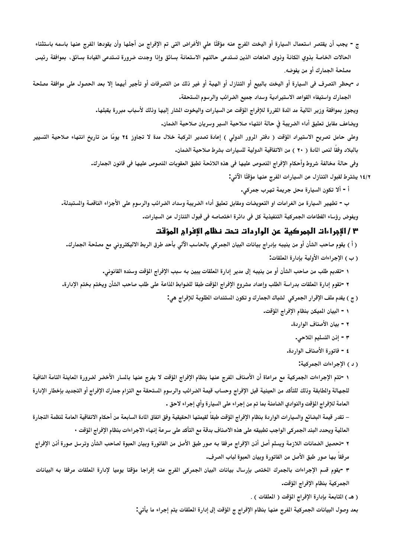- ج يجب أن يقتصر استعمال السيارة أو اليخت المفرج عنه مؤقتًا على الأغراض التي تم الإفراج من أجلها وأن يقودها الفرج عنها باسمه باستثناء الحالات الخاصة بذوي الكانة وذوى العاهات الذين تستدعى حالتهم الاستعانة بسائق وإذا وجدت ضرورة تستدعى القيادة بسائق، بموافقة رئيس مصلحة الجمارك أو من يفوضه.
- د -يحظر التصرف في السيارة أو اليخت بالبيع أو التنازل أو الهبة أو غير ذلك من التصرفات أو تأجير أيهما إلا بعد الحصول على موافقة مصلحة الجمارك واستيفاء القواعد الاستيرادية وسداد جميع الضرائب والرسوم الستحقة.

ويجوز بموافقة وزير المالية مد الدة القررة للإفراج المؤقت عن السيارات واليخوت المشار إليها وذلك لأسباب مبررة يقبلها.

ويضاعف مقابل تعليق أداء الضريبة في حالة انتهاء صلاحية السير وسريان صلاحية الضمان.

وعلى حامل تصريح الاستيراد المؤقت ( دفتر المرور الدولي ) إعادة تصدير المركبة خلال مدة لا تجاوز ٢٤ يومًا من تاريخ انتهاء صلاحية التسيير بالبلاد وفقًا لنص المادة ( ٢٠ ) من الاتفاقية الدولية للسيارات بشرط صلاحية الضمان.

> وفي حالة مخالفة شروط وأحكام الإفراج النصوص عليها في هذه اللائحة تطبق العقوبات النصوص عليها في قانون الجمارك. ١٤/٢ يشترط لقبول التنازل عن السيارات المفرج عنها مؤقتًا الآتي:

> > أ - ألا تكون السيارة محل جريمة تهرب جمركى.

ب - تطهير السيارة من الغرامات او التعويضات ومقابل تعليق أداء الضريبة وسداد الضرائب والرسوم على الأجزاء الناقصة والمستبدلة. ويفوض رؤساء القطاعات الجمركية التنفيذية كل في دائرة اختصاصه في قبول التنازل عن السيارات.

#### ٣ / الإجراءات الجمركية عن الواردات تحت نظام الإفرام المؤقت

( أ ) يقوم صاحب الشأن أو من ينيبه بإدراج بيانات البيان الجمركي بالحاسب الآلي بأحد طرق الربط الاليكتروني مع مصلحة الجمارك.

(ب) الإجراءات الأولية بإدارة المعلقات:

١ -تقديم طلب من صاحب الشأن أو من ينيبه إلى مدير إدارة الملقات يبين به سبب الإفراج المؤقت وسنده القانوني.

- ٢ -تقوم إدارة الملقات بدراسة الطلب وإعداد مشروع الإفراج المؤقت طبقا للضوابط الذاعة على طلب صاحب الشأن ويختم بختم الإدارة.
	- (ج) يقدم ملف الإقرار الجمركي لشباك الجمارك و تكون المستندات المطلوبة للإفراج هي:
		- ١ البيان الميكن بنظام الإفراج المؤقت.
			- ٢ بيان الأصناف الوا, دة.
				- ٣ إذن التسليم الملاحي.
			- ٤ فاتورة الأصناف الواردة.

#### ( د ) الإجراءات الجمركية:

١ -تتم الإجراءات الجمركية مع مراعاة أن الأصناف الفرج عنها بنظام الإفراج المؤقت لا يفرج عنها بالسار الأخضر لضرورة العاينة التامة النافية للجهالة والطابقة وذلك للتأكد من العينية قبل الإفراج وحساب قيمة الضرائب والرسوم الستحقة مع التزام جمارك الإفراج أو التجديد بإخطار الإدارة العامة للإفراج المؤقت والنوادي الضامنة بما تم من إجراء على السيارة وأي إجراء لاحق .

– تقدر قيمة البضائع والسيارات الواردة بنظام الإفراج المؤقت طبقاً لقيمتها الحقيقية وفق اتفاق المادة السابعة من أحكام الاتفاقية العامة لنظمة التجارة العالية ويحدد البند الجمركي الواجب تطبيقه على هذه الاصناف بدقة مع التأكد على سرعة إنهاء الاجراءات بنظام الإفراج الؤقت •

٢ -تحصيل الضمانات اللازمة ويسلم أصل أذن الإفراج مرفقا به صور طبق الأصل من الفاتورة وبيان العبوة لصاحب الشأن وترسل صورة أذن الإفراج مرفقاً بها صور طبق الأصل من الفاتورة وبيان العبوة لباب الصرف.

٣ -يقوم قسم الإجراءات بالجمرك الختص بإرسال بيانات البيان الجمركي الفرج عنه إفراجا مؤقتا يوميا لإدارة العلقات مرفقا به البيانات الجمركية بنظام الإفراج المؤقت.

(هـ) المتابعة بإدارة الإفراج المؤقت ( المعلقات ) .

بعد وصول البيانات الجمركية الفرج عنها بنظام الإفراج ج المؤقت إلى إدارة المعلقات يتم إجراء ما يأتي: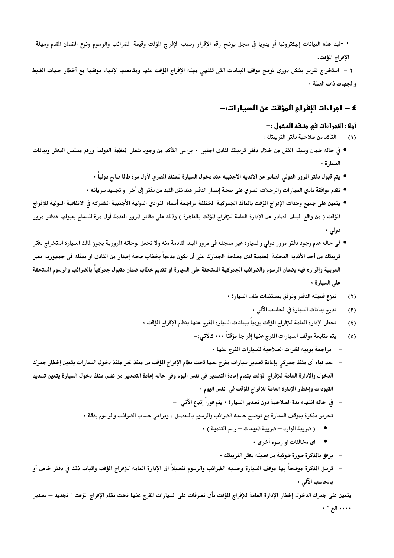١ -قيد هذه البيانات إليكترونيا أو يدويا في سجل يوضح رقم الإقرار وسبب الإفراج المؤقت وقيمة الضرائب والرسوم ونوع الضمان القدم ومهلة الإفراج المؤقت.

٢ – استخراج تقرير بشكل دوري توضح موقف البيانات التي تنتهي مهله الإفراج الؤقت عنها ومتابعتها لإنهاء موقفها مع أخطار جهات الضبط والجهات ذات الصلة ٠

## ٤ – اجراءات الإفرام المؤقت عن السيارات:-

#### <u>أولا : الأجراءات في منفذ الدخول : –</u>

- التأكد من صلاحية دفتر التريبتك :  $(1)$
- في حاله ضمان وسيله النقل من خلال دفتر تريبتك لنادي اجتبى ٠ يراعى التأكد من وجود شعار النظمة الدولية ورقم مسلسل الدفتر وبيانات السيارة •
	- يتم قبول دفتر الرور الدولي الصادر عن الانديه الاجنبيه عند دخول السيارة للمنفذ الصري لأول مرة طالم صالح دولياً •
	- تقدم موافقة نادي السيارات والرحلات الصري على صحة إصدار الدفتر عند نقل القيد من دفتر إلى أخر او تجديد سريانه •
- يتعين على جميع وحدات الإفراج الؤقت بالنافذ الجمركية الختلفة مراجعة أسماء النوادي الدولية الأجنبية الشتركة فى الاتفاقية الدولية للإفراج المؤقت ( من واقع البيان الصادر عن الإدارة العامة للإفراج المؤقت بالقاهرة ) وذلك على دفاتر المرور القدمة أول مرة للسماح بقبولها كدفتر مرور دولی ۰
- في حاله عدم وجود دفتر مرور دولي والسيارة غير مسجله في مرور البلد القادمة منه ولا تحمل لوحاته المرورية يجوز لمالك السيارة استخراج دفتر تريبتك من أحد الأندية المحلية العتمدة لدى مصلحة الجمارك على أن يكون مدعماً بخطاب صحة إصدار من النادى او ممثله فى جمهورية مصر العربية وإقراره فيه بضمان الرسوم والضرائب الجمركية الستحقة على السيارة او تقديم خطاب ضمان مقبول جمركيا بالضرائب والرسوم الستحقة على السيارة .
	- تنزع فصيلة الدفتر وترفق بمستندات ملف السيارة  $(1)$ 
		- تدرج بيانات السيارة في الحاسب الآلي  $(1)$
	- تخطر الإدارة العامة للإفراج المؤقت يومياً ببيانات السيارة الفرج عنها بنظام الإفراج المؤقت  $(3)$ 
		- يتم متابعة موقف السيارات المفرج عنها إفراجا مؤقتاً • كالآتي :  $(0)$ 
			- مراجعة يوميه لفترات الصلاحية للسيارات المفرج عنها •
- عند قيام أي منفذ جمركي بإعادة تصدير سيارات مفرج عنها تحت نظام الإفراج المؤقت من منفذ غير منفذ دخول السيارات يتعين إخطار جمرك الدخول والإدارة العامة للإفراج الؤقت بتمام إعادة التصدير في نفس اليوم وفي حاله إعادة التصدير من نفس منفذ دخول السيارة يتعين تسديد القيودات وإخطار الإدارة العامة للإفراج المؤقت في نفس اليوم •
	- في حاله انتهاء مدة الصلاحية دون تصدير السيارة يتم فوراً إتباع الآتي :–
	- تحرير مذكرة بموقف السيارة مع توضيح حسبه الضرائب والرسوم بالتفصيل ، ويراعى حساب الضرائب والرسوم بدقة ٠
		- ( ضريبة الوارد ضريبة المبيعات رسم التنمية ) •
			- اي مخالفات او رسوم أخرى .
			- ير فق بالذكرة صورة ضوئية من فصيلة دفتر التريبتك •
- –۔ ترسل الذكرة موضحاً بها موقف السيارة وحسبه الضرائب والرسوم تفصيلاً الى الإدارة العامة للإفراج الؤقت واثبات ذلك فى دفتر خاص أو بالحاسب الآلى ٠

يتعين على جمرك الدخول إخطار الإدارة العامة للإفراج الؤقت بأى تصرفات على السيارات الفرج عنها تحت نظام الإفراج الؤقت ″ تجديد — تصدير . . . الخ " .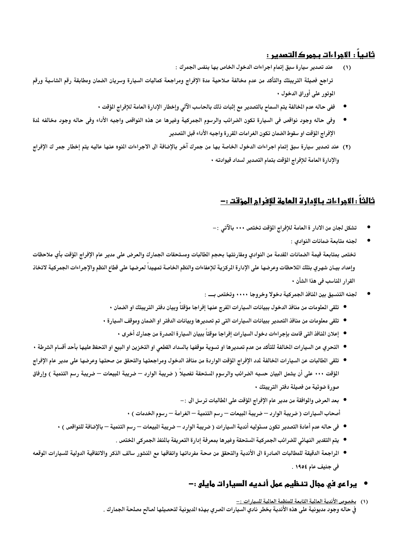## ثانيا : الأجراءات بجمرك التصرير :

- عند تصدير سيارة سبق إتمام اجراءات الدخول الخاص بها بنفس الجمرك :  $(1)$ تراجع فصيلة التريبتك والتأكد من عدم مخالفة صلاحية مدة الإفراج ومراجعة كماليات السيارة وسريان الضمان ومطابقة رقم الشاسية ورقم الموتور على أوراق الدخول •
	- ففي حاله عدم الخالفة يتم السماح بالتصدير مع إثبات ذلك بالحاسب الآلي وإخطار الإدارة العامة للإفراج المؤقت ٠
- وفي حاله وجود نواقص في السيارة تكون الضرائب والرسوم الجمركية وغيرها عن هذه النواقص واجبه الأداء وفي حاله وجود مخالفه لدة الإفراج المؤقت او سقوط الضمان تكون الغرامات القررة واجبه الأداء قبل التصدير
- (٢) عند تصدير سيارة سبق إتمام اجراءات الدخول الخاصة بها من جمرك آخر بالإضافة الى الاجراءات المنوه عنها عاليه يتم إخطار جمر ك الإفراج والإدارة العامة للإفراج المؤقت بتمام التصدير لسداد قيوادته •

# ثالثاً : الاجراءات بالادارة العامة للافرام المؤقت :-

- تشكل لجان من الادار ة العامة للإفراج المؤقت تختص • بالآتي :
	- لجنه متابعة ضمانات النوادي :

تختص بمتابعة قيمة الضمانات القدمة من النوادي ومقارنتها بحجم الطالبات ومستحقات الجمارك والعرض على مدير عام الإفراج الؤقت بأي ملاحظات وإعداد بيـان شهري بتلك اللاحظات وعرضها على الإدارة الركزية للإعفاءات والنظم الخاصة تمهيدا لعرضها على قطاع النظم والإجراءات الجمركية لاتخاذ القرار المناسب في هذا الشأن •

- لجنه التنسيق بين النافذ الجمركية دخولا وخروجا ••••• وتختص بــــ :
- تلقى الملومات من منافذ الدخول ببيانات السيارات الفرج عنها إفراجا مؤقتاً وبيان دفتر التريبتك او الضمان •
- تلقى معلومات من منافذ التصدير ببيانات السيارات التي تم تصديرها وبيانات الدفتر او الضمان وموقف السيارة
	- إعلان المنافذ التي قامت بإجراءات دخول السيارات إفراجا موقتاً ببيان السيارة الصدرة من جمارك أخرى ٠
- التحري عن السيارات الخالفة للتأكد من عدم تصديرها او تسوية موقفها بالسداد القطعي او التخزين او البيع او التحفظ عليها بأحد أقسام الشرطة •
- تلقى الطالبات عن السيار ات الخالفة لمدد الإفراج المؤقت الواردة من منافذ الدخول ومراجعتها والتحقق من صحتها وعرضها على مدير عام الإفراج المؤقت ••• على أن يشمل البيان حسبه الضرائب والرسوم الستحقة تفصيلاً ( ضريبة الوارد — ضريبة البيعات — ضريبة رسم التنمية ) وإرفاق صورة ضوئية من فصيلة دفتر التريبتك •
	- بعد العرض والموافقة من مدير عام الإفراج المؤقت على المطالبات ترسل الى :− أصحاب السيارات ( ضريبة الوارد — ضريبة المبيعات — رسم التنمية — الغرامة — رسوم الخدمات ) •
	- في حاله عدم أعادة التصدير تكون مسئوليه أندية السيارات ( ضريبة الوارد ضريبة المبيعات رسم التنمية بالإضافة للنواقص )
		- يتم التقدير النهائي للضر ائب الجمركية الستحقة وغير ها بمعرفة إدارة التعريفة بالنفذ الجمركي الختص .
- المراجعة الدقيقة للمطالبات الصادرة الى الأندية والتحقق من صحة مفرداتها واتفاقها مع النشور سالف الذكر والاتفاقية الدولية للسيارات الوقعه في جنيف عام ١٩٥٤ .

# • براعي في مجال تنظيم عمل أنديه السيارات مايلي :-

(١) يخصوص الأندية العالية التابعة للمنظمة العالية للسيارات :-في حاله وجود مديونية على هذه الأندية يخطر نادي السيارات الصري بهذه الديونية لتحصيلها لصالح مصلحة الجمارك .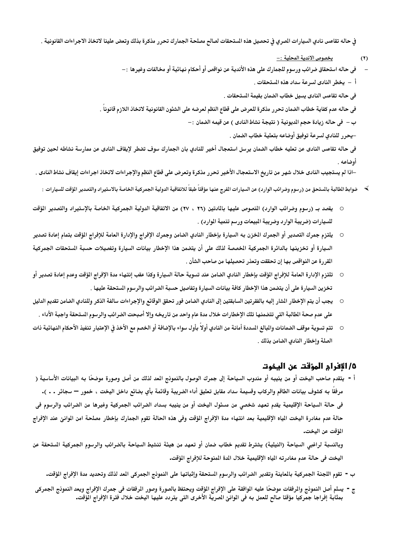في حاله تقاعس نادي السيارات الصري في تحصيل هذه الستحقات لصالح مصلحة الجمارك تحرر مذكرة بذلك وتعض علينا لاتخاذ الاجراءات القانونية .

- <u>يخصوص الاندية المحلية : –</u>  $(\mathbf{r})$
- في حاله استحقاق ضرائب ورسوم للجمارك على هذه الأندية عن نواقص أو أحكام نهائية أو مخالفات وغيرها :—
	- أ يخطر النادى لسرعة سداد هذه المستحقات .

في حاله تقاعس النادي يسيل خطاب الضمان بقيمة المستحقات .

في حاله عدم كفاية خطاب الضمان تحرر مذكر ة للعرض على قطاع النظم لعرضه على الشئون القانونية لاتخاذ اللازم قانوناً .

ب – في حاله زيادة حجم المديونية ( نتيجة نشاط النادي ) عن قيمه الضمان :–

–يحرر للنادي لسرعة توفيق أوضاعه بتعلية خطاب الضمان .

في حاله تقاعس النادي عن تعليه خطاب الضمان يرسل استعجال أخير للنادي بان الجمارك سوف تضطر لإيقاف النادي عن ممارسة نشاطه لحين توفيق أوضاعه .

–اذا لم يستجيب النادي خلال شهر من تاريخ الاستعجال الأخير تحرر مذكرة وتعرض على قطاع النظم والإجراءات لاتخاذ اجراءات إيقاف نشاط النادي .

- ﴾ ضوابط الطالبة بالستحق من (رسوم وضرائب الوارد) عن السيارات الفرج عنها مؤقتاً طبقاً للاتفاقية الدولية الجمركية الخاصة بالاستيراد والتصدير المؤقت للسيارات ∶
- يقصد بـ (رسوم وضرائب الوارد) المنصوص عليها بالمادتين (٢٦ ، ٢٧) من الاتفاقية الدولية الجمركية الخاصة بالإستيراد والتصدير المؤقت للسيارات (ضريبة الوارد وضريبة المبيعات ورسم تنمية الموارد) .
- يلتزم جمرك التصدير أو الجمرك الخزن به السيارة بإخطار النادي الضامن وجمرك الإفراج والإدارة العامة للإفراج الؤقت بتمام إعادة تصدير السيارة أو تخزينها بالدائرة الجمركية الخصصة لذلك على أن يتضمن هذا الإخطار بيانات السيارة وتفصيلات حسبة الستحقات الجمركية المقررة عن النواقص بها إن تحققت وتعذر تحصيلها من صاحب الشأن .
- تلتزم الإدارة العامة للإفراج المؤقت بإخطار النادي الضامن عند تسوية حالة السيارة وكذا عقب إنتهاء مدة الإفراج المؤقت وعدم إعادة تصدير أو تخزين السيار ة على أن يتضمن هذا الإخطار كافة بيانات السيارة وتفاصيل حسبة الضرائب والر سوم الستحقة عليها .
- يجب أن يتم الإخطار الشار إليه بالفقرتين السابقتين إلى النادي الضامن فور تحقق الوقائع والإجراءات سالفة الذكر وللنادي الضامن تقديم الدليل على عدم صحة الطالبة التي تتضمنها تلك الإخطارات خلال مدة عام واحد من تاريخه وإلا أصبحت الضرائب والرسوم الستحقة واجبة الأداء .
- تتم تسوية موقف الضمانات والبالغ السددة أمانة من النادي أولاً بأول سواء بالإضافة أو الخصم مع الأخذ في الإعتبار تنفيذ الأحكام النهائية ذات  $\circ$ الصلة وإخطار النادي الضامن بذلك .

#### ٥/ الإفرام المؤقت عن اليخوت

أ - يتقدم صاحب اليخت أو من ينيبه أو مندوب السياحة إلى جمرك الوصول بالنموذج المد لذلك من أصل وصورة موضحًا به البيانات الأساسية ( مرفقًا به كشوف بيانات الطاقم والركاب وقسيمة سداد مقابل تعليق أداء الضريبة وقائمة بأي بضائع داخل اليخت ، خمور — سجائر . . ). في حالة السياحة الإقليمية يقدم تعهد شخصي من مسئول اليخت أو من ينيبه بسداد الضرائب الجمركية وغيرها من الضرائب والرسوم في حالة عدم مغادرة اليخت المياه الإقليمية بعد انتهاء مدة الإفراج المؤقت وفي هذه الحالة تقوم الجمارك بإخطار مصلحة امن الموانئ عند الإفراج المؤقت عن اليخت.

وبالنسبة لراغبي السياحة (النيلية) يشترط تقديم خطاب ضمان أو تعهد من هيئة تنشيط السياحة بالضرائب والرسوم الجمركية الستحقة عن اليخت في حالة عدم مغادرته الياه الإقليمية خلال الدة المنوحة للإفراج المؤقت.

- ب تقوم اللجنة الجمركية بالماينة وتقدير الضرائب والرسوم الستحقة وإثباتها على النمونج الجمركى العد لذلك وتحديد مدة الإفراج الؤقت.
- ج = يسلم أصل النمونج والمرفقات موضحًا عليه الموافقة على الإفراج المؤقت ويحتفظ بالصورة وصور المرفقات في جمرك الإفراج ويعد النمونج الجمركي بمثابة إفراجا جمّركيا مؤقتا صالح للعمل به في الوانئ الصريّة الأخرى التي يتردد عليها اليخت خلال فترة الإفراج الّوقت.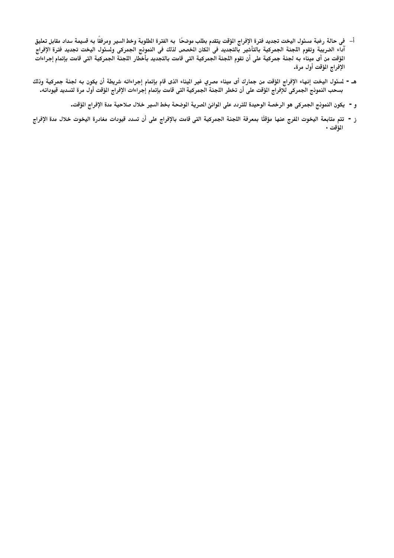- أ– في حالة رغبة مسئول اليخت تجديد فترة الإفراج الؤقت يتقدم بطلب موضحًا به الفترة الطلوبة وخط السير ومرفقًا به قسيمة سداد مقابل تعليق .<br>آداء الضريبة وتقوم اللجنة الجمركية بالتأشير بالتجديد فى الكان الخصص لذلك فى النموذج الجمركى ولسئول اليخت تجديد فترة الإفراج المؤقت من أى ميناء به لجنة جمركية على أن تقوم اللجنة الجمركية التى قامت بالتجديد بأخطار اللجنة الجمركية التى قامت بإتمام إجراءات الإفراج المؤقت أول مرة.
- هـ. لمسئول اليخت إنهاء الإفراج الؤقت من جمارك أى ميناء مصري غير اليناء الذى قام بإتمام إجراءاته شريطة أن يكون به لجنة جمركية وذلك بسحب النموذج الجمركى للإفراج الؤقت على أن تخطر اللجنة الجمركية التى قامت بإتمام إجراءات الإفراج الؤقت أول مرة لتسديد قيوداته ـ
	- و يكون النمونج الجمركي هو الرخصة الوحيدة للتردد على الوانئ الصرية الوضحة بخط السير خلال صلاحية مدة الإفراج الؤقت.
- ز تتم متابعة اليخوت الفرج عنها مؤقتًا بمعرفة اللجنة الجمركية التي قامت بالإفراج على أن تسدد قيودات مغادرة اليخوت خلال مدة الإفراج المؤقت •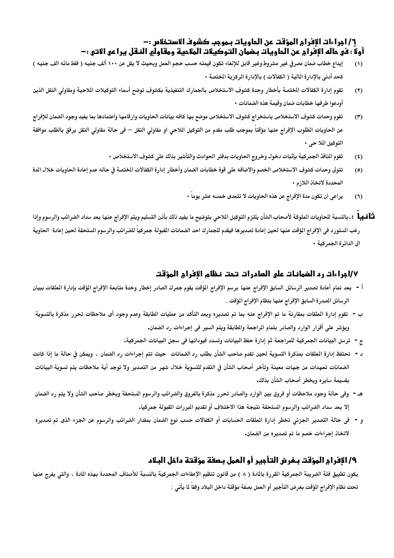## ٦/ أمراءات الأفرام المؤقت عن الحاويات يهوجب كشوف الاستخلاص : – أولًا : في هاله الإفرام عن الماويات بـضمان التوكيلات الملامية ومقاولهِ النـقل يـراعي الاتي :-

- إيداع خطاب ضمان مصرفي غير مشروط وغير قابل للإلغاء تكون قيمته حسب حجم العمل وبحيث لا يقل عن ١٠٠ ألف جنيه ( فقط مائه الف جنيه )  $(1)$ كحد أدنى بالإدارة المالية ( الكفالات ) بالإدارة المركزية الختصة ٠
- تقوم إدارة الكفالات الختصة بأخطار وحدة كشوف الاستخلاص بالجمارك التنفيذية بكشوف توضح أسماء التوكيلات اللاحية ومقاولى النقل الذين  $(7)$ أودعوا طرفها خطابات ضمان وقيمة هذه الضمانات •
- تقوم وحدات كشوف الاستخلاص باستخراج كشوف الاستخلاص موضح بها كافه بيانات الحاويات وارقامها واعتمادها بما يفيد وجود الضمان للإفراج  $(1)$ عن الحاويات الطلوب الإفراج عنها مؤقتاً بموجب طلب مقدم من التوكيل الملاحى او مقاولى النقل — فى حالة مقاولى النقل يرفق بالطلب موافقة التوكيل الملاحي •
	- تقوم النافذ الجمركية بإثبات دخول وخروج الحاويات بدفتر الحوادث والتأشير بذلك على كشوف الاستخلاص ٠  $(3)$
- تتولى وحدات كشوف الاستخلاص الخصم والاضافه على قوة خطابات الضمان وأخطار إدارة الكفالات الختصة فى حاله عدم إعادة الحاويات خلال الدة  $(0)$ المحددة لاتخاذ اللازم •
	- يراعي ان تكون مدة الإفراج عن هذه الحاويات لا تتعدى خمسه عشر يوماً  $(1)$
- **ثـّأفـيـأ** : «بالنسبة للحاويات الملوكة لأصحاب الشأن يلتزم التوكيل اللاحي بتوضيح ما يفيد ذلك بأذن التسليم ويتم الإفراج عنها بعد سداد الضرائب والرسوم وإذا رغب الستورد فى الإفراج الؤقت عنها لحين إعادة تصديرها فيقدم للجمارك احد الضمانات القبولة جمركياً للضرائب والرسوم الستحقة لحين إعادة الحاوية الى الدائر ة الجمر كية ٠

## ١/٧براءاتـ رد الضمانـاتـ على الصادراتـ تـحتـ نـظام الإفرام المؤقتـ

- أ بعد تمام أعادة تصدير الرسائل السابق الإفراج عنها برسم الإفراج المؤقت يقوم جمرك الصادر إخطار وحدة متابعة الإفراج الؤقت بإدارة الملقات ببيان الرسائل الممدرة السابق الإفراج عنها بنظام الإفراج المؤقت .
- ب تقوم إدارة العلقات بمقارنة ما تم الإفراج عنه بما تم تصديره وبعد التأكد من عمليات الطابقة وعدم وجود أى ملاحظات تحرر مذكرة بالتسوية ويؤشر على أقرار الوارد والصادر بتمام المراجعة والمطابقة ويتم السير في إجراءات رد الضمان.
	- ج ترسل البيانات الجمركية للمراجعة ثم إدارة حفظ البيانات وتسدد قيوداتها في سجل البيانات الجمركية.
- د تحتفظ إدارة الملقات بمذكرة التسوية لحين تقدم صاحب الشأن بطلب رد الضمانات حيث تتم إجراءات رد الضمان ، ويمكن في حالة ما إذا كانت الضمانات تعهدات من جهات معينة وتأخر أصحاب الشأن فى التقدم للتسوية خلال شهر من التصدير ولا توجد أية ملاحظات يتم تسوية البيانات بقسيمة سايره ويخطر أصحاب الشأن بذلك.
- هـ وفي حالة وجود ملاحظات أو فروق بين الوارد والصادر تحرر مذكرة بالفروق والضرائب والرسوم الستحقة ويخطر صاحب الشأن ولا يتم رد الضمان إلا بعد سداد الضرائب والرسوم الستحقة نتيجة هذا الاختلاف أو تقديم البررات القبولة جمركيا.
- و في حالة التصدير الجزئي تخطر إدارة العلقات الحسابات أو الكفالات حسب نوع الضمان بمقدار الضرائب والرسوم عن الجزء الذى تم تصديره لاتخاذ إجراءات خصم ما تم تصديره من الضمان.

## ٩/الإفرام المؤقت بـغرض التأجير أو العمل بـصفة مؤقتة داخل البـلاد

يكون تطبيق فئة الضريبة الجمركية القررة بالمادة ( ٨ ) من قانون تنظيم الإعفاءات الجمركية بالنسبة للأصناف المحددة بهذه المادة ، والتي يفرج عنها تحت نظام الإفراج المؤقت بغرض التأجير أو العمل بصفة مؤقتة داخل البلاد وفقاً لما يأتى :